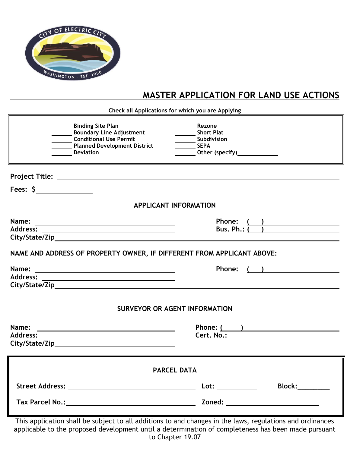

## **MASTER APPLICATION FOR LAND USE ACTIONS**

**Check all Applications for which you are Applying**

|                                      | <b>Binding Site Plan</b><br><b>Boundary Line Adjustment</b><br><b>Conditional Use Permit</b><br>Planned Development District<br><b>Deviation</b> | Rezone<br><b>Short Plat</b><br>Subdivision<br>$\frac{1}{\sqrt{1-\frac{1}{2}}}$ SEPA<br>Other (specify)_______________ |  |  |  |  |
|--------------------------------------|--------------------------------------------------------------------------------------------------------------------------------------------------|-----------------------------------------------------------------------------------------------------------------------|--|--|--|--|
|                                      |                                                                                                                                                  |                                                                                                                       |  |  |  |  |
| Fees: $\frac{1}{2}$                  |                                                                                                                                                  |                                                                                                                       |  |  |  |  |
| <b>APPLICANT INFORMATION</b>         |                                                                                                                                                  |                                                                                                                       |  |  |  |  |
|                                      | Phone: $\frac{(\ )}{\text{Bus. Ph.: } (\ )}$                                                                                                     |                                                                                                                       |  |  |  |  |
|                                      | NAME AND ADDRESS OF PROPERTY OWNER, IF DIFFERENT FROM APPLICANT ABOVE:                                                                           |                                                                                                                       |  |  |  |  |
| Name:                                | <u> Alexandria de la contrada de la contrada de la contrada de la contrada de la contrada de la contrada de la c</u>                             | ( )<br><b>Phone:</b>                                                                                                  |  |  |  |  |
| <b>SURVEYOR OR AGENT INFORMATION</b> |                                                                                                                                                  |                                                                                                                       |  |  |  |  |
| Name:                                | <u> 1989 - Johann John Stein, markin fan de Amerikaansk kommunent fan de Amerikaansk kommunent fan de Amerikaans</u>                             | Phone: ( )                                                                                                            |  |  |  |  |
| <b>PARCEL DATA</b>                   |                                                                                                                                                  |                                                                                                                       |  |  |  |  |
|                                      |                                                                                                                                                  | <b>Block:________</b>                                                                                                 |  |  |  |  |
|                                      |                                                                                                                                                  |                                                                                                                       |  |  |  |  |

This application shall be subject to all additions to and changes in the laws, regulations and ordinances applicable to the proposed development until a determination of completeness has been made pursuant to Chapter 19.07